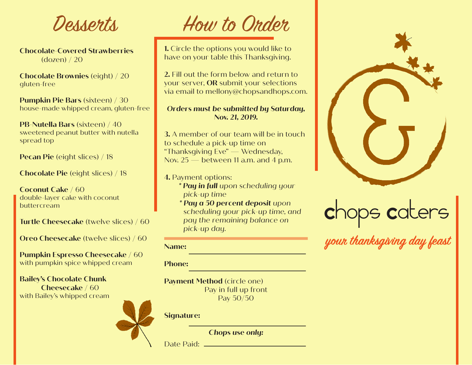Desserts

**Chocolate-Covered Strawberries** (dozen) / 20

**Chocolate Brownies** (eight) / 20 gluten-free

**Pumpkin Pie Bars** (sixteen) / 30 house-made whipped cream, gluten-free

**PB-Nutella Bars** (sixteen) / 40 sweetened peanut butter with nutella spread top

**Pecan Pie** (eight slices) / 18

**Chocolate Pie** (eight slices) / 18

**Coconut Cake** / 60 double-layer cake with coconut buttercream

**Turtle Cheesecake** (twelve slices) / 60

**Oreo Cheesecake** (twelve slices) / 60

**Pumpkin Espresso Cheesecake** / 60 with pumpkin spice whipped cream

**Bailey's Chocolate Chunk Cheesecake** / 60 with Bailey's whipped cream



# How to Order

**1.** Circle the options you would like to have on your table this Thanksgiving.

**2.** Fill out the form below and return to your server, **OR** submit your selections via email to mellony@chopsandhops.com.

### *Orders must be submitted by Saturday, Nov. 21, 2019.*

**3.** A member of our team will be in touch to schedule a pick-up time on "Thanksgiving Eve" — Wednesday, Nov.  $25$  — between 11 a.m. and 4 p.m.

**4.** Payment options:

- *\* Pay in full upon scheduling your pick-up time*
- *\* Pay a 50 percent deposit upon scheduling your pick-up time, and pay the remaining balance on pick-up day.*

**Name:**

**Phone:**

**Payment Method (circle one)** Pay in full up front Pay 50/50

#### **Signature:**

*Chops use only:*

Date Paid:



# Chops Caters

**your thanksgiving day feast**